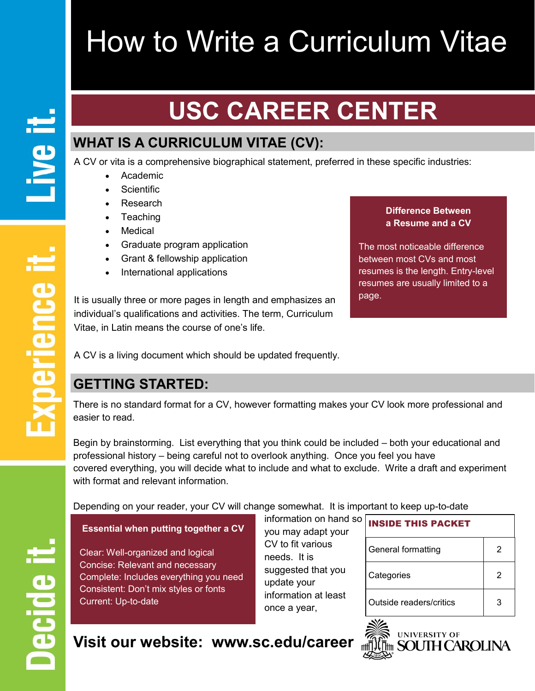# How to Write a Curriculum Vitae

## **USC CAREER CENTER**

## **WHAT IS A CURRICULUM VITAE (CV):**

A CV or vita is a comprehensive biographical statement, preferred in these specific industries:

- Academic
- Scientific
- Research
- Teaching
- Medical
- Graduate program application
- Grant & fellowship application
- International applications

It is usually three or more pages in length and emphasizes an individual's qualifications and activities. The term, Curriculum Vitae, in Latin means the course of one's life.

#### **Difference Between a Resume and a CV**

The most noticeable difference between most CVs and most resumes is the length. Entry-level resumes are usually limited to a page.

A CV is a living document which should be updated frequently.

## **GETTING STARTED:**

There is no standard format for a CV, however formatting makes your CV look more professional and easier to read.

Begin by brainstorming. List everything that you think could be included – both your educational and professional history – being careful not to overlook anything. Once you feel you have covered everything, you will decide what to include and what to exclude. Write a draft and experiment with format and relevant information.

Depending on your reader, your CV will change somewhat. It is important to keep up-to-date

#### **Essential when putting together a CV**

Clear: Well-organized and logical Concise: Relevant and necessary Complete: Includes everything you need Consistent: Don't mix styles or fonts Current: Up-to-date

you may adapt your CV to fit various needs. It is suggested that you update your information at least once a year,

information on hand so

| <b>INSIDE THIS PACKET</b> |   |  |  |  |  |
|---------------------------|---|--|--|--|--|
| General formatting        | 2 |  |  |  |  |
| Categories                | 2 |  |  |  |  |
| Outside readers/critics   | 3 |  |  |  |  |

**Visit our website: www.sc.edu/career**

Decide it

**Il əvi** 

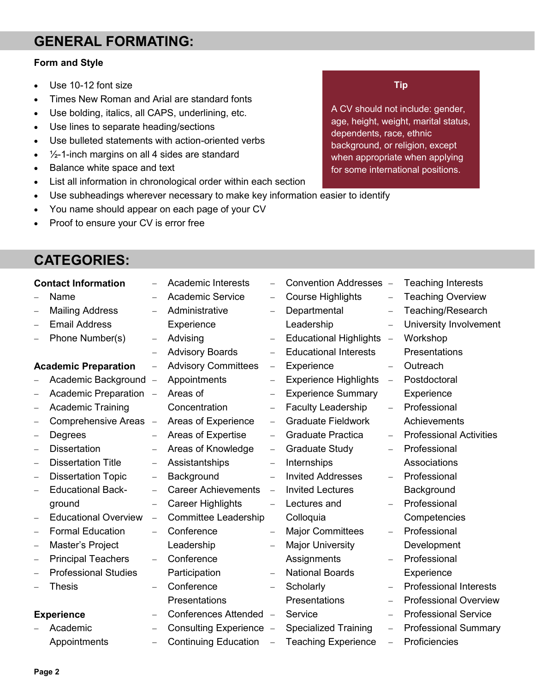### **GENERAL FORMATING:**

#### **Form and Style**

- Use 10-12 font size
- Times New Roman and Arial are standard fonts
- Use bolding, italics, all CAPS, underlining, etc.
- Use lines to separate heading/sections
- Use bulleted statements with action-oriented verbs
- $\cdot$   $\frac{1}{2}$ -1-inch margins on all 4 sides are standard
- Balance white space and text
- List all information in chronological order within each section
- Use subheadings wherever necessary to make key information easier to identify
- You name should appear on each page of your CV
- Proof to ensure your CV is error free

## **CATEGORIES:**

|   | <b>Contact Information</b>  |                          | <b>Academic Interests</b>   |                          | Convention Addresses -        |                          | <b>Teaching Interests</b>      |
|---|-----------------------------|--------------------------|-----------------------------|--------------------------|-------------------------------|--------------------------|--------------------------------|
|   | Name                        |                          | <b>Academic Service</b>     | $-$                      | <b>Course Highlights</b>      |                          | <b>Teaching Overview</b>       |
| - | <b>Mailing Address</b>      | $\qquad \qquad -$        | Administrative              | $\qquad \qquad -$        | Departmental                  |                          | Teaching/Research              |
|   | <b>Email Address</b>        |                          | Experience                  |                          | Leadership                    | $\overline{\phantom{0}}$ | University Involvement         |
|   | Phone Number(s)             | $\overline{\phantom{m}}$ | Advising                    | $\overline{\phantom{0}}$ | <b>Educational Highlights</b> | $\equiv$                 | Workshop                       |
|   |                             |                          | <b>Advisory Boards</b>      | $\overline{\phantom{0}}$ | <b>Educational Interests</b>  |                          | Presentations                  |
|   | <b>Academic Preparation</b> | $\qquad \qquad -$        | <b>Advisory Committees</b>  | $\qquad \qquad -$        | Experience                    | $\qquad \qquad -$        | Outreach                       |
|   | Academic Background         | $\overline{\phantom{0}}$ | Appointments                | $\qquad \qquad -$        | <b>Experience Highlights</b>  | $\overline{\phantom{a}}$ | Postdoctoral                   |
| - | Academic Preparation -      |                          | Areas of                    | $\overline{\phantom{0}}$ | <b>Experience Summary</b>     |                          | Experience                     |
| - | <b>Academic Training</b>    |                          | Concentration               | $\qquad \qquad -$        | <b>Faculty Leadership</b>     |                          | Professional                   |
| - | <b>Comprehensive Areas</b>  | $\qquad \qquad -$        | Areas of Experience         | $\qquad \qquad -$        | <b>Graduate Fieldwork</b>     |                          | Achievements                   |
| - | Degrees                     |                          | Areas of Expertise          | $\overline{\phantom{m}}$ | <b>Graduate Practica</b>      | $\qquad \qquad -$        | <b>Professional Activities</b> |
| - | <b>Dissertation</b>         | $\overline{\phantom{m}}$ | Areas of Knowledge          | $\overline{\phantom{m}}$ | <b>Graduate Study</b>         |                          | Professional                   |
| - | <b>Dissertation Title</b>   | $\overline{\phantom{m}}$ | Assistantships              | $\qquad \qquad -$        | Internships                   |                          | Associations                   |
| - | <b>Dissertation Topic</b>   | $\qquad \qquad -$        | Background                  | $\overline{\phantom{0}}$ | <b>Invited Addresses</b>      | $\overline{\phantom{0}}$ | Professional                   |
| - | <b>Educational Back-</b>    |                          | <b>Career Achievements</b>  | $\overline{\phantom{m}}$ | <b>Invited Lectures</b>       |                          | Background                     |
|   | ground                      | $\qquad \qquad -$        | <b>Career Highlights</b>    | $\overline{\phantom{0}}$ | Lectures and                  |                          | Professional                   |
| - | <b>Educational Overview</b> | -                        | Committee Leadership        |                          | Colloquia                     |                          | Competencies                   |
| - | <b>Formal Education</b>     |                          | Conference                  | $\equiv$                 | <b>Major Committees</b>       | $\overline{\phantom{0}}$ | Professional                   |
| - | Master's Project            |                          | Leadership                  |                          | <b>Major University</b>       |                          | Development                    |
| - | <b>Principal Teachers</b>   |                          | Conference                  |                          | Assignments                   |                          | Professional                   |
|   | <b>Professional Studies</b> |                          | Participation               | $\qquad \qquad -$        | <b>National Boards</b>        |                          | Experience                     |
|   | <b>Thesis</b>               |                          | Conference                  | $\qquad \qquad -$        | Scholarly                     |                          | <b>Professional Interests</b>  |
|   |                             |                          | Presentations               |                          | Presentations                 |                          | <b>Professional Overview</b>   |
|   | <b>Experience</b>           |                          | Conferences Attended -      |                          | Service                       | $\qquad \qquad -$        | <b>Professional Service</b>    |
|   | Academic                    |                          | Consulting Experience -     |                          | <b>Specialized Training</b>   | $\qquad \qquad -$        | <b>Professional Summary</b>    |
|   | Appointments                | $\overline{\phantom{0}}$ | <b>Continuing Education</b> | $\equiv$                 | <b>Teaching Experience</b>    | $\overline{\phantom{0}}$ | Proficiencies                  |

A CV should not include: gender, age, height, weight, marital status, dependents, race, ethnic background, or religion, except when appropriate when applying for some international positions.

**Tip**